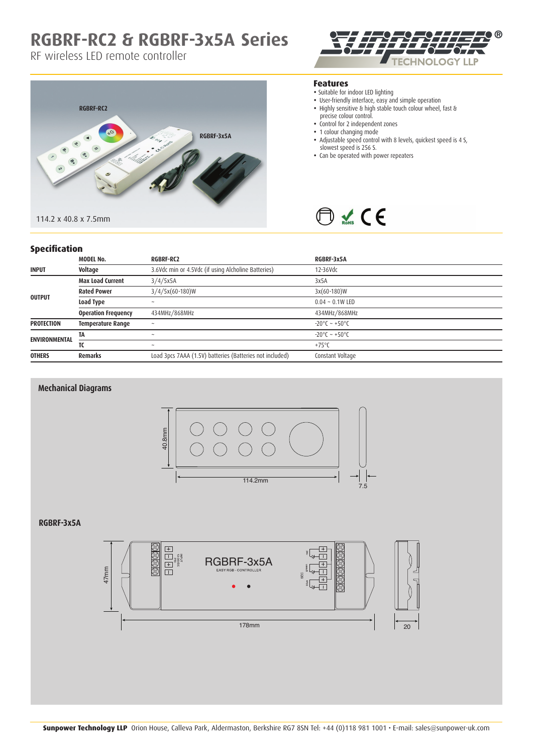## **RGBRF-RC2 & RGBRF-3x5A Series**

RF wireless LED remote controller





#### **Features**

- Suitable for indoor LED lighting
- User-friendly interface, easy and simple operation
- Highly sensitive & high stable touch colour wheel, fast & precise colour control.
- Control for 2 independent zones
- 1 colour changing mode
- Adjustable speed control with 8 levels, quickest speed is 4 S, slowest speed is 256 S.
- Can be operated with power repeaters



## **Specification**

| specification        |                            |                                                          |                                   |
|----------------------|----------------------------|----------------------------------------------------------|-----------------------------------|
|                      | <b>MODEL No.</b>           | <b>RGBRF-RC2</b>                                         | RGBRF-3x5A                        |
| <b>INPUT</b>         | Voltage                    | 3.6Vdc min or 4.5Vdc (if using Alcholine Batteries)      | 12-36Vdc                          |
| <b>OUTPUT</b>        | <b>Max Load Current</b>    | 3/4/5x5A                                                 | 3x5A                              |
|                      | <b>Rated Power</b>         | $3/4/5x(60-180)W$                                        | $3x(60-180)W$                     |
|                      | Load Type                  | $\sim$                                                   | $0.04 \sim 0.1W$ LED              |
|                      | <b>Operation Frequency</b> | 434MHz/868MHz                                            | 434MHz/868MHz                     |
| <b>PROTECTION</b>    | <b>Temperature Range</b>   | $\tilde{\phantom{a}}$                                    | $-20^{\circ}$ C ~ $+50^{\circ}$ C |
| <b>ENVIRONMENTAL</b> | TA                         | $\sim$                                                   | $-20^{\circ}$ C ~ $+50^{\circ}$ C |
|                      | TC                         | $\tilde{}$                                               | $+75^{\circ}$ C                   |
| <b>OTHERS</b>        | <b>Remarks</b>             | Load 3pcs 7AAA (1.5V) batteries (Batteries not included) | Constant Voltage                  |



### **RGBRF-3x5A**